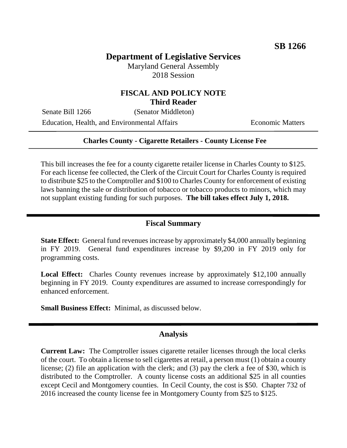# **Department of Legislative Services**

Maryland General Assembly 2018 Session

### **FISCAL AND POLICY NOTE Third Reader**

Senate Bill 1266 (Senator Middleton)

Education, Health, and Environmental Affairs Economic Matters

#### **Charles County - Cigarette Retailers - County License Fee**

This bill increases the fee for a county cigarette retailer license in Charles County to \$125. For each license fee collected, the Clerk of the Circuit Court for Charles County is required to distribute \$25 to the Comptroller and \$100 to Charles County for enforcement of existing laws banning the sale or distribution of tobacco or tobacco products to minors, which may not supplant existing funding for such purposes. **The bill takes effect July 1, 2018.**

#### **Fiscal Summary**

**State Effect:** General fund revenues increase by approximately \$4,000 annually beginning in FY 2019. General fund expenditures increase by \$9,200 in FY 2019 only for programming costs.

**Local Effect:** Charles County revenues increase by approximately \$12,100 annually beginning in FY 2019. County expenditures are assumed to increase correspondingly for enhanced enforcement.

**Small Business Effect:** Minimal, as discussed below.

#### **Analysis**

**Current Law:** The Comptroller issues cigarette retailer licenses through the local clerks of the court. To obtain a license to sell cigarettes at retail, a person must (1) obtain a county license; (2) file an application with the clerk; and (3) pay the clerk a fee of \$30, which is distributed to the Comptroller. A county license costs an additional \$25 in all counties except Cecil and Montgomery counties. In Cecil County, the cost is \$50. Chapter 732 of 2016 increased the county license fee in Montgomery County from \$25 to \$125.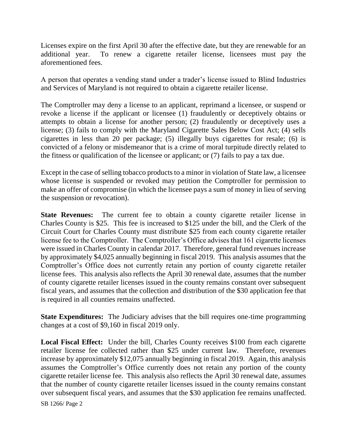Licenses expire on the first April 30 after the effective date, but they are renewable for an additional year. To renew a cigarette retailer license, licensees must pay the aforementioned fees.

A person that operates a vending stand under a trader's license issued to Blind Industries and Services of Maryland is not required to obtain a cigarette retailer license.

The Comptroller may deny a license to an applicant, reprimand a licensee, or suspend or revoke a license if the applicant or licensee (1) fraudulently or deceptively obtains or attempts to obtain a license for another person; (2) fraudulently or deceptively uses a license; (3) fails to comply with the Maryland Cigarette Sales Below Cost Act; (4) sells cigarettes in less than 20 per package; (5) illegally buys cigarettes for resale; (6) is convicted of a felony or misdemeanor that is a crime of moral turpitude directly related to the fitness or qualification of the licensee or applicant; or (7) fails to pay a tax due.

Except in the case of selling tobacco products to a minor in violation of State law, a licensee whose license is suspended or revoked may petition the Comptroller for permission to make an offer of compromise (in which the licensee pays a sum of money in lieu of serving the suspension or revocation).

**State Revenues:** The current fee to obtain a county cigarette retailer license in Charles County is \$25. This fee is increased to \$125 under the bill, and the Clerk of the Circuit Court for Charles County must distribute \$25 from each county cigarette retailer license fee to the Comptroller. The Comptroller's Office advises that 161 cigarette licenses were issued in Charles County in calendar 2017. Therefore, general fund revenues increase by approximately \$4,025 annually beginning in fiscal 2019. This analysis assumes that the Comptroller's Office does not currently retain any portion of county cigarette retailer license fees. This analysis also reflects the April 30 renewal date, assumes that the number of county cigarette retailer licenses issued in the county remains constant over subsequent fiscal years, and assumes that the collection and distribution of the \$30 application fee that is required in all counties remains unaffected.

**State Expenditures:** The Judiciary advises that the bill requires one-time programming changes at a cost of \$9,160 in fiscal 2019 only.

**Local Fiscal Effect:** Under the bill, Charles County receives \$100 from each cigarette retailer license fee collected rather than \$25 under current law. Therefore, revenues increase by approximately \$12,075 annually beginning in fiscal 2019. Again, this analysis assumes the Comptroller's Office currently does not retain any portion of the county cigarette retailer license fee. This analysis also reflects the April 30 renewal date, assumes that the number of county cigarette retailer licenses issued in the county remains constant over subsequent fiscal years, and assumes that the \$30 application fee remains unaffected.

SB 1266/ Page 2